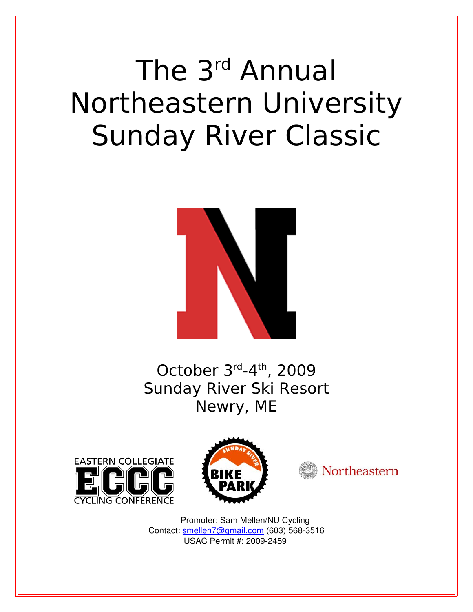# The 3rd Annual Northeastern University Sunday River Classic



October 3rd-4th, 2009 Sunday River Ski Resort Newry, ME







 Promoter: Sam Mellen/NU Cycling Contact: [smellen7@gmail.com](mailto:smellen7@gmail.com) (603) 568-3516 USAC Permit #: 2009-2459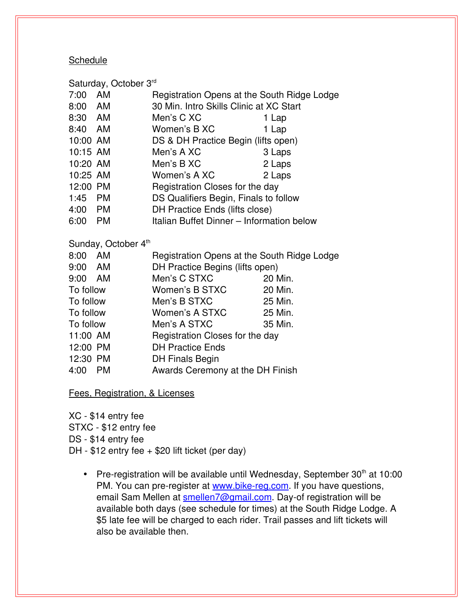# **Schedule**

| Saturday, October 3rd |           |                                             |        |  |  |
|-----------------------|-----------|---------------------------------------------|--------|--|--|
| 7:00                  | AM        | Registration Opens at the South Ridge Lodge |        |  |  |
| 8:00 AM               |           | 30 Min. Intro Skills Clinic at XC Start     |        |  |  |
| 8:30 AM               |           | Men's C XC                                  | 1 Lap  |  |  |
| 8:40 AM               |           | Women's B XC                                | 1 Lap  |  |  |
| 10:00 AM              |           | DS & DH Practice Begin (lifts open)         |        |  |  |
| 10:15 AM              |           | Men's A XC                                  | 3 Laps |  |  |
| 10:20 AM              |           | Men's B XC                                  | 2 Laps |  |  |
| 10:25 AM              |           | Women's A XC                                | 2 Laps |  |  |
| 12:00 PM              |           | Registration Closes for the day             |        |  |  |
| 1:45 PM               |           | DS Qualifiers Begin, Finals to follow       |        |  |  |
| 4:00 PM               |           | DH Practice Ends (lifts close)              |        |  |  |
| 6:00                  | <b>PM</b> | Italian Buffet Dinner - Information below   |        |  |  |
|                       |           |                                             |        |  |  |

Sunday, October 4<sup>th</sup>

| 8:00<br>AM        | Registration Opens at the South Ridge Lodge |         |  |
|-------------------|---------------------------------------------|---------|--|
| 9:00 AM           | DH Practice Begins (lifts open)             |         |  |
| 9:00 AM           | Men's C STXC                                | 20 Min. |  |
| To follow         | Women's B STXC                              | 20 Min. |  |
| To follow         | Men's B STXC                                | 25 Min. |  |
| To follow         | Women's A STXC                              | 25 Min. |  |
| To follow         | Men's A STXC                                | 35 Min. |  |
| 11:00 AM          | Registration Closes for the day             |         |  |
| 12:00 PM          | <b>DH Practice Ends</b>                     |         |  |
| 12:30 PM          | <b>DH Finals Begin</b>                      |         |  |
| 4:00<br><b>PM</b> | Awards Ceremony at the DH Finish            |         |  |

Fees, Registration, & Licenses

XC - \$14 entry fee STXC - \$12 entry fee DS - \$14 entry fee DH -  $$12$  entry fee +  $$20$  lift ticket (per day)

• Pre-registration will be available until Wednesday, September  $30<sup>th</sup>$  at 10:00 PM. You can pre-register at www.bike-reg.com. If you have questions, email Sam Mellen at [smellen7@gmail.com.](mailto:smellen7@gmail.com) Day-of registration will be available both days (see schedule for times) at the South Ridge Lodge. A \$5 late fee will be charged to each rider. Trail passes and lift tickets will also be available then.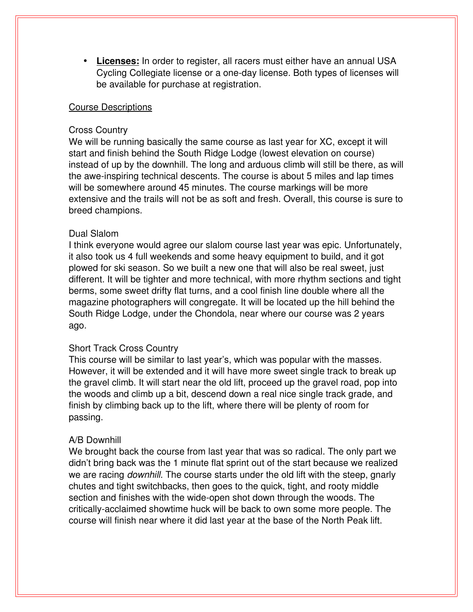•  **Licenses:** In order to register, all racers must either have an annual USA Cycling Collegiate license or a one-day license. Both types of licenses will be available for purchase at registration.

#### Course Descriptions

#### Cross Country

We will be running basically the same course as last year for XC, except it will start and finish behind the South Ridge Lodge (lowest elevation on course) instead of up by the downhill. The long and arduous climb will still be there, as will the aweinspiring technical descents. The course is about 5 miles and lap times will be somewhere around 45 minutes. The course markings will be more extensive and the trails will not be as soft and fresh. Overall, this course is sure to breed champions.

#### Dual Slalom

I think everyone would agree our slalom course last year was epic. Unfortunately, it also took us 4 full weekends and some heavy equipment to build, and it got plowed for ski season. So we built a new one that will also be real sweet, just different. It will be tighter and more technical, with more rhythm sections and tight berms, some sweet drifty flat turns, and a cool finish line double where all the magazine photographers will congregate. It will be located up the hill behind the South Ridge Lodge, under the Chondola, near where our course was 2 years ago.

# Short Track Cross Country

This course will be similar to last year's, which was popular with the masses. However, it will be extended and it will have more sweet single track to break up the gravel climb. It will start near the old lift, proceed up the gravel road, pop into the woods and climb up a bit, descend down a real nice single track grade, and finish by climbing back up to the lift, where there will be plenty of room for passing.

# A/B Downhill

We brought back the course from last year that was so radical. The only part we didn't bring back was the 1 minute flat sprint out of the start because we realized we are racing *downhill*. The course starts under the old lift with the steep, gnarly chutes and tight switchbacks, then goes to the quick, tight, and rooty middle section and finishes with the wide-open shot down through the woods. The critically-acclaimed showtime huck will be back to own some more people. The course will finish near where it did last year at the base of the North Peak lift.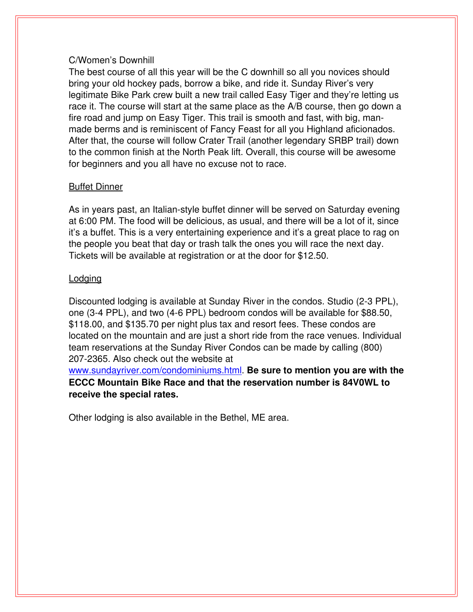# C/Women's Downhill

The best course of all this year will be the C downhill so all you novices should bring your old hockey pads, borrow a bike, and ride it. Sunday River's very legitimate Bike Park crew built a new trail called Easy Tiger and they're letting us race it. The course will start at the same place as the A/B course, then go down a fire road and jump on Easy Tiger. This trail is smooth and fast, with big, manmade berms and is reminiscent of Fancy Feast for all you Highland aficionados. After that, the course will follow Crater Trail (another legendary SRBP trail) down to the common finish at the North Peak lift. Overall, this course will be awesome for beginners and you all have no excuse not to race.

# Buffet Dinner

As in years past, an Italian-style buffet dinner will be served on Saturday evening at 6:00 PM. The food will be delicious, as usual, and there will be a lot of it, since it's a buffet. This is a very entertaining experience and it's a great place to rag on the people you beat that day or trash talk the ones you will race the next day. Tickets will be available at registration or at the door for \$12.50.

#### Lodging

Discounted lodging is available at Sunday River in the condos. Studio (23 PPL), one (34 PPL), and two (46 PPL) bedroom condos will be available for \$88.50, \$118.00, and \$135.70 per night plus tax and resort fees. These condos are located on the mountain and are just a short ride from the race venues. Individual team reservations at the Sunday River Condos can be made by calling (800) 207-2365. Also check out the website at

[www.sundayriver.com/condominiums.html.](http://www.sundayriver.com/condominiums.html) **Be sure to mention you are with the ECCC Mountain Bike Race and that the reservation number is 84V0WL to receive the special rates.**

Other lodging is also available in the Bethel, ME area.